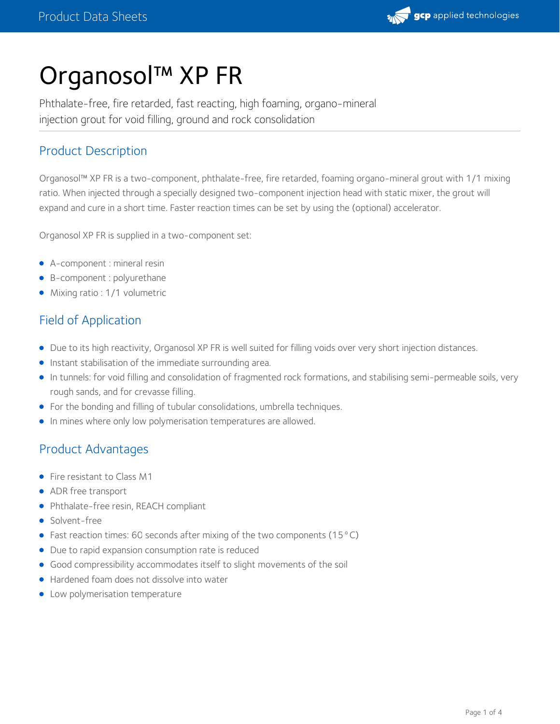

# Organosol™ XP FR

Phthalate-free, fire retarded, fast reacting, high foaming, organo-mineral injection grout for void filling, ground and rock consolidation

## Product Description

Organosol™ XP FR is a two-component, phthalate-free, fire retarded, foaming organo-mineral grout with 1/1 mixing ratio. When injected through a specially designed two-component injection head with static mixer, the grout will expand and cure in a short time. Faster reaction times can be set by using the (optional) accelerator.

Organosol XP FR is supplied in a two-component set:

- A-component : mineral resin
- B-component : polyurethane
- Mixing ratio : 1/1 volumetric

## Field of Application

- Due to its high reactivity, Organosol XP FR is well suited for filling voids over very short injection distances.
- **•** Instant stabilisation of the immediate surrounding area.
- In tunnels: for void filling and consolidation of fragmented rock formations, and stabilising semi-permeable soils, very rough sands, and for crevasse filling.
- For the bonding and filling of tubular consolidations, umbrella techniques.
- **In mines where only low polymerisation temperatures are allowed.**

# Product Advantages

- Fire resistant to Class M1
- ADR free transport
- Phthalate-free resin, REACH compliant
- Solvent-free
- Fast reaction times: 60 seconds after mixing of the two components (15 °C)
- Due to rapid expansion consumption rate is reduced
- Good compressibility accommodates itself to slight movements of the soil
- Hardened foam does not dissolve into water
- Low polymerisation temperature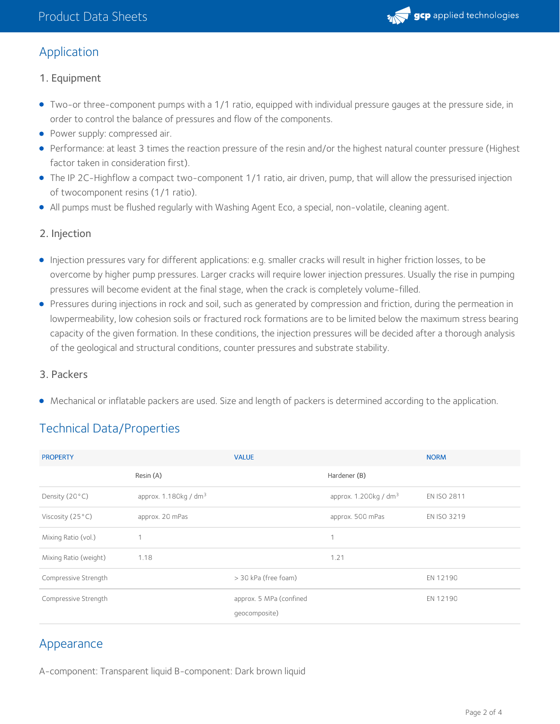

## Application

- 1. Equipment
- Two-or three-component pumps with a 1/1 ratio, equipped with individual pressure gauges at the pressure side, in order to control the balance of pressures and flow of the components.
- Power supply: compressed air.
- Performance: at least 3 times the reaction pressure of the resin and/or the highest natural counter pressure (Highest factor taken in consideration first).
- The IP 2C-Highflow a compact two-component 1/1 ratio, air driven, pump, that will allow the pressurised injection of twocomponent resins (1/1 ratio).
- All pumps must be flushed regularly with Washing Agent Eco, a special, non-volatile, cleaning agent.

#### 2. Injection

- Injection pressures vary for different applications: e.g. smaller cracks will result in higher friction losses, to be overcome by higher pump pressures. Larger cracks will require lower injection pressures. Usually the rise in pumping pressures will become evident at the final stage, when the crack is completely volume-filled.
- Pressures during injections in rock and soil, such as generated by compression and friction, during the permeation in lowpermeability, low cohesion soils or fractured rock formations are to be limited below the maximum stress bearing capacity of the given formation. In these conditions, the injection pressures will be decided after a thorough analysis of the geological and structural conditions, counter pressures and substrate stability.

#### 3. Packers

Mechanical or inflatable packers are used. Size and length of packers is determined according to the application.

# Technical Data/Properties

| <b>PROPERTY</b>           |                         | <b>VALUE</b>                             |                                   | <b>NORM</b>        |
|---------------------------|-------------------------|------------------------------------------|-----------------------------------|--------------------|
|                           | Resin (A)               |                                          | Hardener (B)                      |                    |
| Density $(20 °C)$         | approx. $1.180kg / dm3$ |                                          | approx. 1.200kg / dm <sup>3</sup> | <b>EN ISO 2811</b> |
| Viscosity $(25^{\circ}C)$ | approx. 20 mPas         |                                          | approx. 500 mPas                  | EN ISO 3219        |
| Mixing Ratio (vol.)       | 1                       |                                          | 1                                 |                    |
| Mixing Ratio (weight)     | 1.18                    |                                          | 1.21                              |                    |
| Compressive Strength      |                         | > 30 kPa (free foam)                     |                                   | EN 12190           |
| Compressive Strength      |                         | approx. 5 MPa (confined<br>qeocomposite) |                                   | EN 12190           |

### Appearance

A-component: Transparent liquid B-component: Dark brown liquid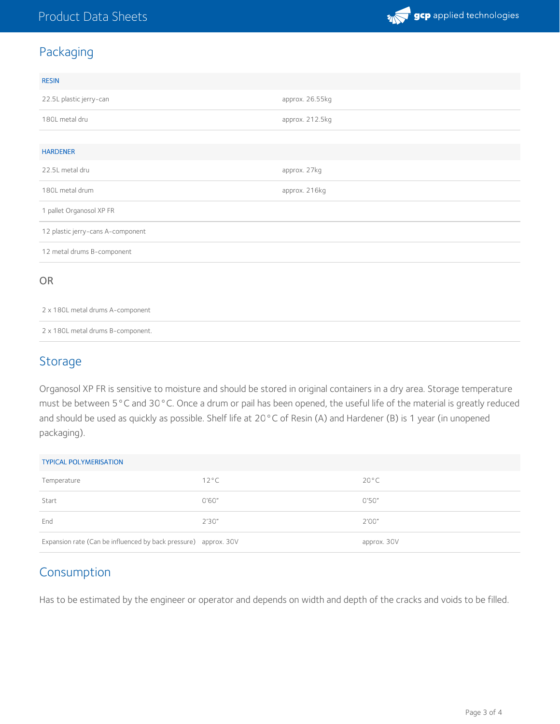

# Packaging

| <b>RESIN</b>                      |                 |  |  |  |
|-----------------------------------|-----------------|--|--|--|
| 22.5L plastic jerry-can           | approx. 26.55kg |  |  |  |
| 180L metal dru                    | approx. 212.5kg |  |  |  |
|                                   |                 |  |  |  |
| <b>HARDENER</b>                   |                 |  |  |  |
| 22.5L metal dru                   | approx. 27kg    |  |  |  |
| 180L metal drum                   | approx. 216kg   |  |  |  |
| 1 pallet Organosol XP FR          |                 |  |  |  |
| 12 plastic jerry-cans A-component |                 |  |  |  |
| 12 metal drums B-component        |                 |  |  |  |
| <b>OR</b>                         |                 |  |  |  |

2 x 180L metal drums A-component

2 x 180L metal drums B-component.

## Storage

Organosol XP FR is sensitive to moisture and should be stored in original containers in a dry area. Storage temperature must be between 5°C and 30°C. Once a drum or pail has been opened, the useful life of the material is greatly reduced and should be used as quickly as possible. Shelf life at 20°C of Resin (A) and Hardener (B) is 1 year (in unopened packaging).

| <b>TYPICAL POLYMERISATION</b>                                   |                |                |  |  |  |
|-----------------------------------------------------------------|----------------|----------------|--|--|--|
| Temperature                                                     | $12^{\circ}$ C | $20^{\circ}$ C |  |  |  |
| Start                                                           | 0'60''         | 0'50"          |  |  |  |
| End                                                             | 2'30''         | 2'00''         |  |  |  |
| Expansion rate (Can be influenced by back pressure) approx. 30V |                | approx. 30V    |  |  |  |

# Consumption

Has to be estimated by the engineer or operator and depends on width and depth of the cracks and voids to be filled.